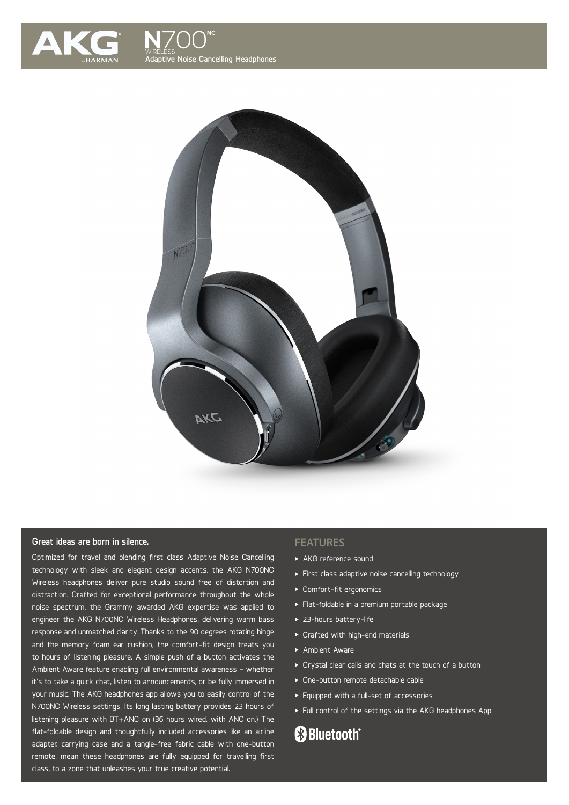



### **Great ideas are born in silence.**

Optimized for travel and blending first class Adaptive Noise Cancelling technology with sleek and elegant design accents, the AKG N700NC Wireless headphones deliver pure studio sound free of distortion and distraction. Crafted for exceptional performance throughout the whole noise spectrum, the Grammy awarded AKG expertise was applied to engineer the AKG N700NC Wireless Headphones, delivering warm bass response and unmatched clarity. Thanks to the 90 degrees rotating hinge and the memory foam ear cushion, the comfort-fit design treats you to hours of listening pleasure. A simple push of a button activates the Ambient Aware feature enabling full environmental awareness – whether it's to take a quick chat, listen to announcements, or be fully immersed in your music. The AKG headphones app allows you to easily control of the N700NC Wireless settings. Its long lasting battery provides 23 hours of listening pleasure with BT+ANC on (36 hours wired, with ANC on.) The flat-foldable design and thoughtfully included accessories like an airline adapter, carrying case and a tangle-free fabric cable with one-button remote, mean these headphones are fully equipped for travelling first class, to a zone that unleashes your true creative potential.

#### **FEATURES**

- AKG reference sound
- First class adaptive noise cancelling technology
- Comfort-fit ergonomics
- Flat-foldable in a premium portable package
- ▶ 23-hours battery-life
- Crafted with high-end materials
- Ambient Aware
- Crystal clear calls and chats at the touch of a button
- One-button remote detachable cable
- Equipped with a full-set of accessories
- Full control of the settings via the AKG headphones App

# **83 Bluetooth**®